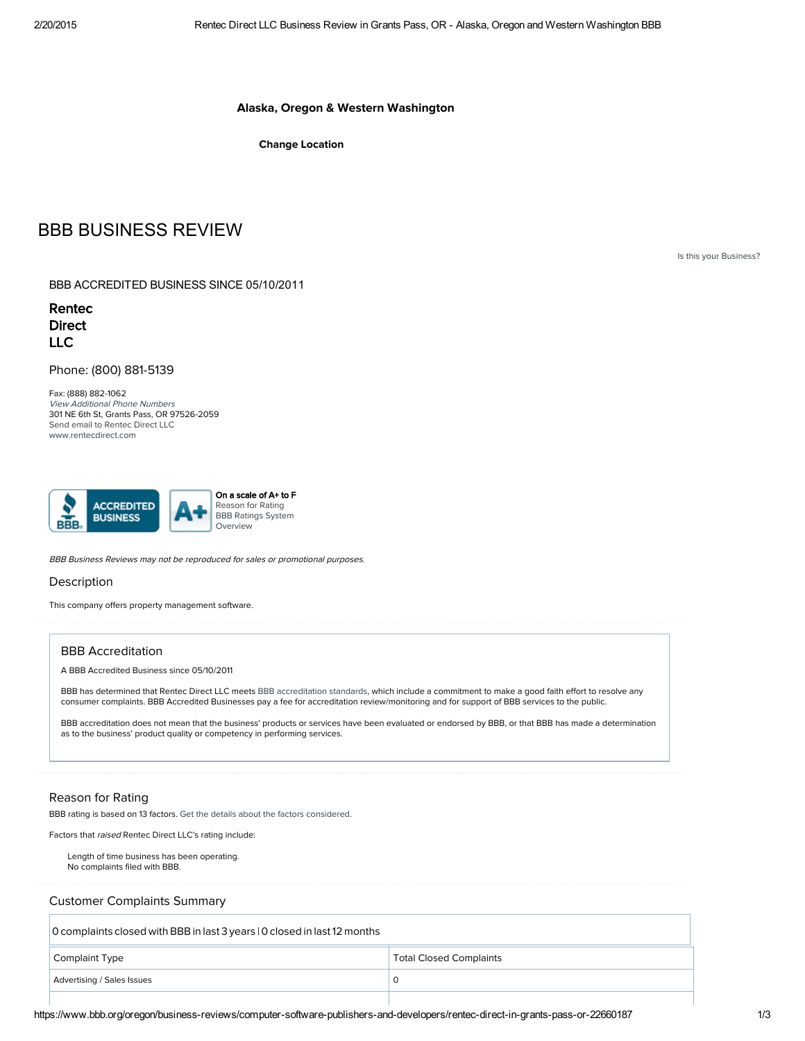#### Alaska, Oregon & Western Washington

Change Location

# BBB BUSINESS REVIEW

Is this your [Business?](http://www.bbb.org/alaskaoregonwesternwashington/account/claim.html?bid=22660187)

BBB ACCREDITED BUSINESS SINCE 05/10/2011

Rentec **Direct** LLC

Phone: (800) 881-5139

Fax: (888) 882-1062 View Additional Phone Numbers 301 NE 6th St, Grants Pass, OR 97526-2059 Send email to [Rentec](http://www.bbb.org/alaskaoregonwesternwashington/contact-business/22660187/1) Direct LLC [www.rentecdirect.com](http://www.rentecdirect.com/)



BBB Business Reviews may not be reproduced for sales or promotional purposes.

#### **Description**

This company offers property management software.

#### BBB Accreditation

A BBB Accredited Business since 05/10/2011

BBB has determined that Rentec Direct LLC meets BBB [accreditation](http://www.bbb.org/alaskaoregonwesternwashington/for-businesses/about-bbb-accreditation/bbb-code-of-business-practices-bbb-accreditation-standards/) standards, which include a commitment to make a good faith effort to resolve any consumer complaints. BBB Accredited Businesses pay a fee for accreditation review/monitoring and for support of BBB services to the public.

BBB accreditation does not mean that the business' products or services have been evaluated or endorsed by BBB, or that BBB has made a determination as to the business' product quality or competency in performing services.

#### Reason for Rating

BBB rating is based on 13 factors. Get the details about the factors [considered](http://www.bbb.org/council/overview-of-bbb-grade/).

Factors that raised Rentec Direct LLC's rating include:

Length of time business has been operating. No complaints filed with BBB.

Customer Complaints Summary

0 complaints closed with BBB in last 3 years | 0 closed in last12 months Complaint Type Total Closed Complaints Complaints Advertising / Sales Issues 0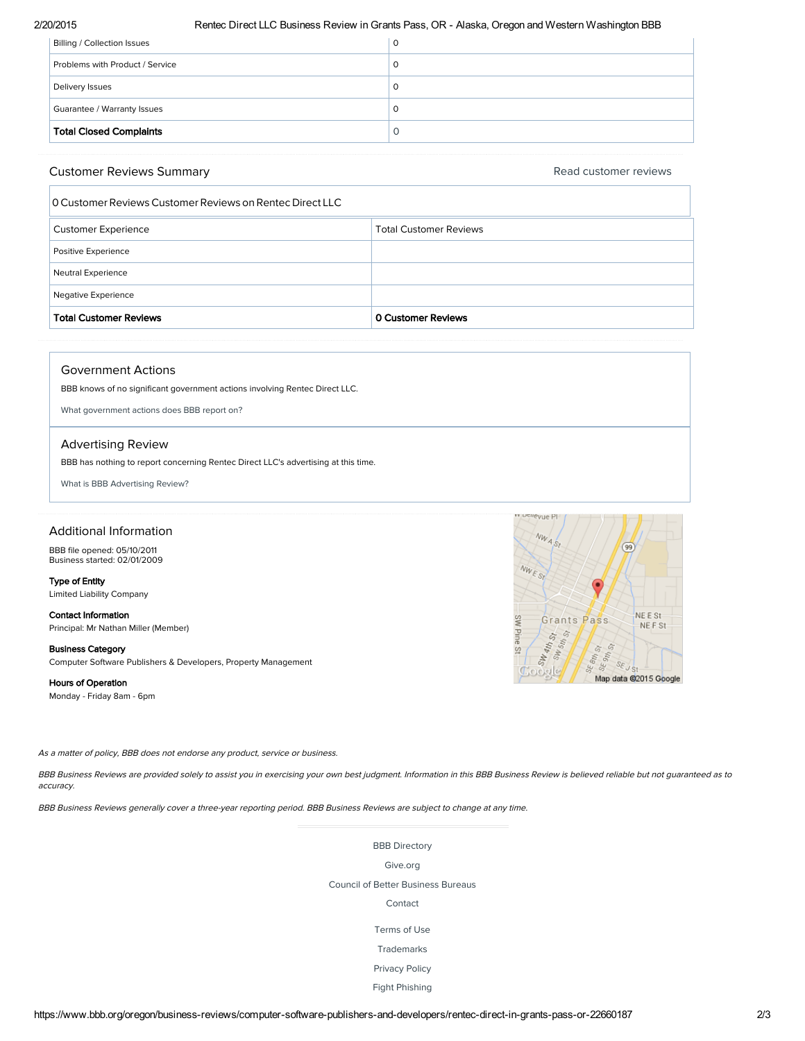#### 2/20/2015 Rentec Direct LLC Business Review in Grants Pass, OR Alaska, Oregon and Western Washington BBB

| <b>Total Closed Complaints</b>  | Ő |
|---------------------------------|---|
| Guarantee / Warranty Issues     | O |
| Delivery Issues                 | O |
| Problems with Product / Service | 0 |
| Billing / Collection Issues     | O |

#### Customer Reviews Summary

Read [customer](http://www.bbb.org/oregon/business-reviews/computer-software-publishers-and-developers/rentec-direct-in-grants-pass-or-22660187/customer-reviews?cacheit=y) reviews

| O Customer Reviews Customer Reviews on Rentec Direct LLC |                               |
|----------------------------------------------------------|-------------------------------|
| <b>Customer Experience</b>                               | <b>Total Customer Reviews</b> |
| Positive Experience                                      |                               |
| Neutral Experience                                       |                               |
| Negative Experience                                      |                               |
| <b>Total Customer Reviews</b>                            | 0 Customer Reviews            |

#### Government Actions

BBB knows of no significant government actions involving Rentec Direct LLC.

<span id="page-1-0"></span>What [government](#page-1-0) actions does BBB report on?

#### Advertising Review

BBB has nothing to report concerning Rentec Direct LLC's advertising at this time.

<span id="page-1-1"></span>What is BBB [Advertising](#page-1-1) Review?

#### Additional Information

BBB file opened: 05/10/2011 Business started: 02/01/2009

### Type of Entity

Limited Liability Company

#### Contact Information Principal: Mr Nathan Miller (Member)

# Business Category

Computer Software Publishers & Developers, Property Management

#### Hours of Operation

Monday - Friday 8am - 6pm



BBB Business Reviews are provided solely to assist you in exercising your own best judgment. Information in this BBB Business Review is believed reliable but not guaranteed as to accuracy.

BBB Business Reviews generally cover <sup>a</sup> three-year reporting period. BBB Business Reviews are subject to change at any time.

#### BBB [Directory](http://www.bbb.org/council/list-all-bbb-locations/)

[Give.org](http://www.give.org/)

Council of Better [Business](http://www.bbb.org/council) Bureaus

## [Contact](https://www.bbb.org/oregon/get-to-know-us/contact/)

[Terms](https://www.bbb.org/oregon/get-to-know-us/terms-of-use/) of Use

[Trademarks](https://www.bbb.org/oregon/get-to-know-us/trademarks/)

[Privacy](https://www.bbb.org/oregon/get-to-know-us/privacy-policy/) Policy

Fight [Phishing](https://www.bbb.org/oregon/get-consumer-help/fight-phishing/)